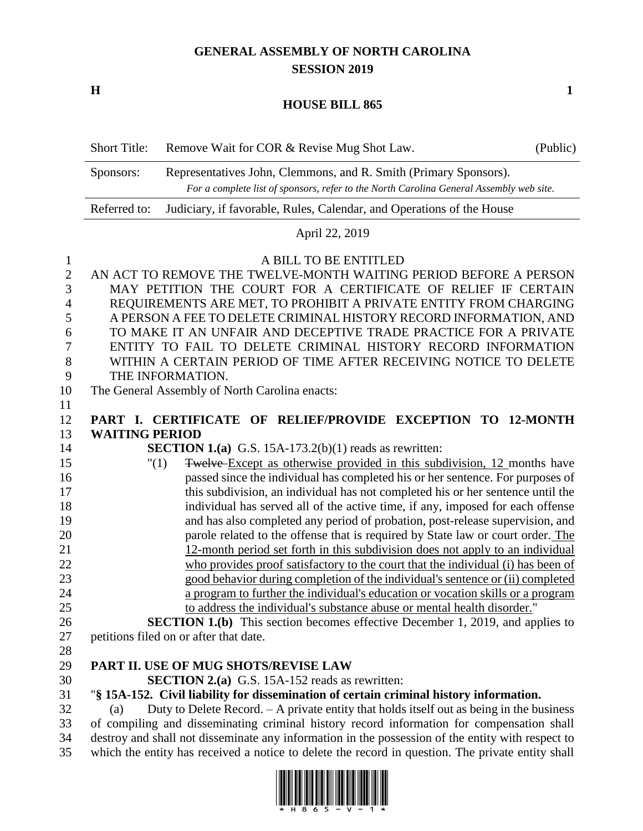# **GENERAL ASSEMBLY OF NORTH CAROLINA SESSION 2019**

**H 1**

#### **HOUSE BILL 865**

| <b>Short Title:</b> | Remove Wait for COR & Revise Mug Shot Law.                                                                                                                  | (Public) |
|---------------------|-------------------------------------------------------------------------------------------------------------------------------------------------------------|----------|
| Sponsors:           | Representatives John, Clemmons, and R. Smith (Primary Sponsors).<br>For a complete list of sponsors, refer to the North Carolina General Assembly web site. |          |
| Referred to:        | Judiciary, if favorable, Rules, Calendar, and Operations of the House                                                                                       |          |

April 22, 2019

## A BILL TO BE ENTITLED

| $\mathbf{2}$   | AN ACT TO REMOVE THE TWELVE-MONTH WAITING PERIOD BEFORE A PERSON                                                                                                                   |
|----------------|------------------------------------------------------------------------------------------------------------------------------------------------------------------------------------|
| 3              | MAY PETITION THE COURT FOR A CERTIFICATE OF RELIEF IF CERTAIN                                                                                                                      |
| 4              | REQUIREMENTS ARE MET, TO PROHIBIT A PRIVATE ENTITY FROM CHARGING                                                                                                                   |
| 5              | A PERSON A FEE TO DELETE CRIMINAL HISTORY RECORD INFORMATION, AND                                                                                                                  |
| 6              | TO MAKE IT AN UNFAIR AND DECEPTIVE TRADE PRACTICE FOR A PRIVATE                                                                                                                    |
| $\overline{7}$ | ENTITY TO FAIL TO DELETE CRIMINAL HISTORY RECORD INFORMATION                                                                                                                       |
| $8\,$          | WITHIN A CERTAIN PERIOD OF TIME AFTER RECEIVING NOTICE TO DELETE                                                                                                                   |
| 9              | THE INFORMATION.                                                                                                                                                                   |
| 10             | The General Assembly of North Carolina enacts:                                                                                                                                     |
| 11             |                                                                                                                                                                                    |
| 12             | PART I. CERTIFICATE OF RELIEF/PROVIDE EXCEPTION TO 12-MONTH                                                                                                                        |
| 13             | <b>WAITING PERIOD</b>                                                                                                                                                              |
| 14             | <b>SECTION 1.(a)</b> G.S. 15A-173.2(b)(1) reads as rewritten:                                                                                                                      |
| 15             | Twelve Except as otherwise provided in this subdivision, 12 months have<br>"(1)                                                                                                    |
| 16             | passed since the individual has completed his or her sentence. For purposes of                                                                                                     |
| 17             | this subdivision, an individual has not completed his or her sentence until the                                                                                                    |
| 18             | individual has served all of the active time, if any, imposed for each offense                                                                                                     |
| 19             | and has also completed any period of probation, post-release supervision, and                                                                                                      |
| 20             | parole related to the offense that is required by State law or court order. The                                                                                                    |
| 21             | 12-month period set forth in this subdivision does not apply to an individual                                                                                                      |
| 22             | who provides proof satisfactory to the court that the individual (i) has been of                                                                                                   |
| 23             | good behavior during completion of the individual's sentence or (ii) completed                                                                                                     |
| 24             | a program to further the individual's education or vocation skills or a program                                                                                                    |
| 25             | to address the individual's substance abuse or mental health disorder."                                                                                                            |
| 26             | <b>SECTION 1.(b)</b> This section becomes effective December 1, 2019, and applies to                                                                                               |
| 27             | petitions filed on or after that date.                                                                                                                                             |
| 28             |                                                                                                                                                                                    |
| 29             | PART II. USE OF MUG SHOTS/REVISE LAW                                                                                                                                               |
| 30             | <b>SECTION 2.(a)</b> G.S. 15A-152 reads as rewritten:                                                                                                                              |
| 31<br>32       | "§ 15A-152. Civil liability for dissemination of certain criminal history information.<br>Duty to Delete Record. - A private entity that holds itself out as being in the business |
| 33             | (a)<br>of compiling and disseminating criminal history record information for compensation shall                                                                                   |
|                |                                                                                                                                                                                    |

 destroy and shall not disseminate any information in the possession of the entity with respect to which the entity has received a notice to delete the record in question. The private entity shall

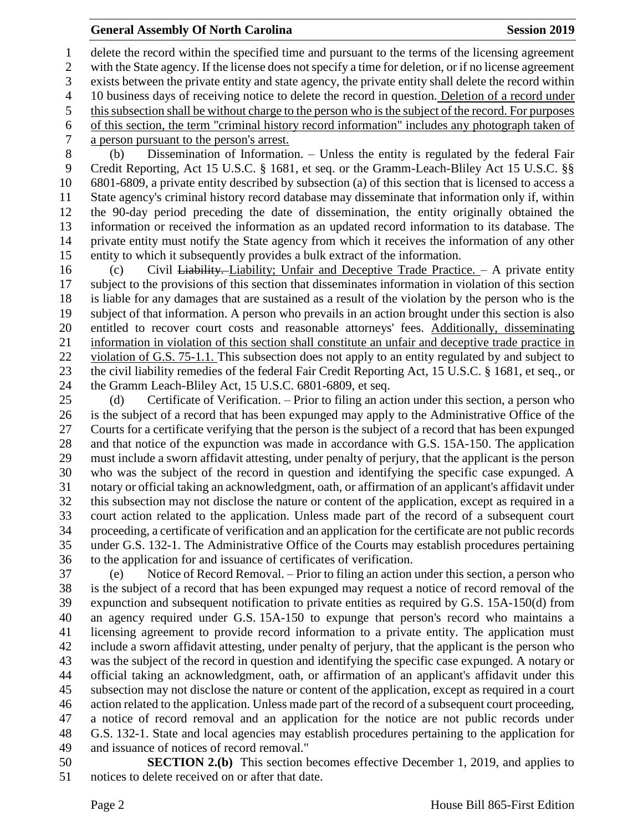### **General Assembly Of North Carolina Session 2019 Session 2019**

 delete the record within the specified time and pursuant to the terms of the licensing agreement with the State agency. If the license does not specify a time for deletion, or if no license agreement exists between the private entity and state agency, the private entity shall delete the record within 10 business days of receiving notice to delete the record in question. Deletion of a record under this subsection shall be without charge to the person who is the subject of the record. For purposes of this section, the term "criminal history record information" includes any photograph taken of a person pursuant to the person's arrest.

 (b) Dissemination of Information. – Unless the entity is regulated by the federal Fair Credit Reporting, Act 15 U.S.C. § 1681, et seq. or the Gramm-Leach-Bliley Act 15 U.S.C. §§ 6801-6809, a private entity described by subsection (a) of this section that is licensed to access a State agency's criminal history record database may disseminate that information only if, within the 90-day period preceding the date of dissemination, the entity originally obtained the information or received the information as an updated record information to its database. The private entity must notify the State agency from which it receives the information of any other entity to which it subsequently provides a bulk extract of the information.

 (c) Civil Liability. Liability; Unfair and Deceptive Trade Practice. – A private entity subject to the provisions of this section that disseminates information in violation of this section is liable for any damages that are sustained as a result of the violation by the person who is the subject of that information. A person who prevails in an action brought under this section is also entitled to recover court costs and reasonable attorneys' fees. Additionally, disseminating information in violation of this section shall constitute an unfair and deceptive trade practice in violation of G.S. 75-1.1. This subsection does not apply to an entity regulated by and subject to the civil liability remedies of the federal Fair Credit Reporting Act, 15 U.S.C. § 1681, et seq., or the Gramm Leach-Bliley Act, 15 U.S.C. 6801-6809, et seq.

 (d) Certificate of Verification. – Prior to filing an action under this section, a person who is the subject of a record that has been expunged may apply to the Administrative Office of the Courts for a certificate verifying that the person is the subject of a record that has been expunged and that notice of the expunction was made in accordance with G.S. 15A-150. The application must include a sworn affidavit attesting, under penalty of perjury, that the applicant is the person who was the subject of the record in question and identifying the specific case expunged. A notary or official taking an acknowledgment, oath, or affirmation of an applicant's affidavit under this subsection may not disclose the nature or content of the application, except as required in a court action related to the application. Unless made part of the record of a subsequent court proceeding, a certificate of verification and an application for the certificate are not public records under G.S. 132-1. The Administrative Office of the Courts may establish procedures pertaining to the application for and issuance of certificates of verification.

 (e) Notice of Record Removal. – Prior to filing an action under this section, a person who is the subject of a record that has been expunged may request a notice of record removal of the expunction and subsequent notification to private entities as required by G.S. 15A-150(d) from an agency required under G.S. 15A-150 to expunge that person's record who maintains a licensing agreement to provide record information to a private entity. The application must include a sworn affidavit attesting, under penalty of perjury, that the applicant is the person who was the subject of the record in question and identifying the specific case expunged. A notary or official taking an acknowledgment, oath, or affirmation of an applicant's affidavit under this subsection may not disclose the nature or content of the application, except as required in a court action related to the application. Unless made part of the record of a subsequent court proceeding, a notice of record removal and an application for the notice are not public records under G.S. 132-1. State and local agencies may establish procedures pertaining to the application for and issuance of notices of record removal."

 **SECTION 2.(b)** This section becomes effective December 1, 2019, and applies to notices to delete received on or after that date.